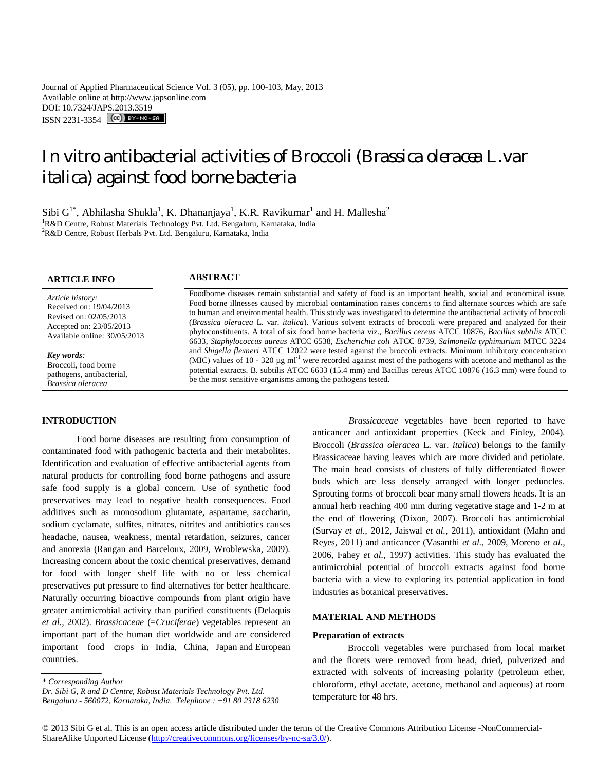Journal of Applied Pharmaceutical Science Vol. 3 (05), pp. 100-103, May, 2013 Available online at http://www.japsonline.com DOI: 10.7324/JAPS.2013.3519 ISSN 2231-3354 **CC**) BY-NC-SA

In vitro antibacterial activities of Broccoli (*Brassica oleracea* L.var *italica*) against food borne bacteria

Sibi  $G^{1*}$ , Abhilasha Shukla<sup>1</sup>, K. Dhananjaya<sup>1</sup>, K.R. Ravikumar<sup>1</sup> and H. Mallesha<sup>2</sup> <sup>1</sup>R&D Centre, Robust Materials Technology Pvt. Ltd. Bengaluru, Karnataka, India <sup>2</sup>R&D Centre, Robust Herbals Pvt. Ltd. Bengaluru, Karnataka, India

# **ARTICLE INFO ABSTRACT**

*Article history:* Received on: 19/04/2013 Revised on: 02/05/2013 Accepted on: 23/05/2013 Available online: 30/05/2013

*Key words:*  Broccoli, food borne pathogens, antibacterial, *Brassica oleracea*

Foodborne diseases remain substantial and safety of food is an important health, social and economical issue. Food borne illnesses caused by microbial contamination raises concerns to find alternate sources which are safe to human and environmental health. This study was investigated to determine the antibacterial activity of broccoli (*Brassica oleracea* L. var. *italica*). Various solvent extracts of broccoli were prepared and analyzed for their phytoconstituents. A total of six food borne bacteria viz., *Bacillus cereus* ATCC 10876, *Bacillus subtilis* ATCC 6633, *Staphylococcus aureus* ATCC 6538, *Escherichia coli* ATCC 8739, *Salmonella typhimurium* MTCC 3224 and *Shigella flexneri* ATCC 12022 were tested against the broccoli extracts. Minimum inhibitory concentration (MIC) values of 10 - 320  $\mu$ g ml<sup>-1</sup> were recorded against most of the pathogens with acetone and methanol as the potential extracts. B. subtilis ATCC 6633 (15.4 mm) and Bacillus cereus ATCC 10876 (16.3 mm) were found to be the most sensitive organisms among the pathogens tested.

## **INTRODUCTION**

Food borne diseases are resulting from consumption of contaminated food with pathogenic bacteria and their metabolites. Identification and evaluation of effective antibacterial agents from natural products for controlling food borne pathogens and assure safe food supply is a global concern. Use of synthetic food preservatives may lead to negative health consequences. Food additives such as monosodium glutamate, aspartame, saccharin, sodium cyclamate, sulfites, nitrates, nitrites and antibiotics causes headache, nausea, weakness, mental retardation, seizures, cancer and anorexia (Rangan and Barceloux, 2009, Wroblewska, 2009). Increasing concern about the toxic chemical preservatives, demand for food with longer shelf life with no or less chemical preservatives put pressure to find alternatives for better healthcare. Naturally occurring bioactive compounds from plant origin have greater antimicrobial activity than purified constituents (Delaquis *et al.,* 2002). *Brassicaceae* (=*Cruciferae*) vegetables represent an important part of the human diet worldwide and are considered important food crops in India, China, Japan and European countries.

# **MATERIAL AND METHODS**

## **Preparation of extracts**

Broccoli vegetables were purchased from local market and the florets were removed from head, dried, pulverized and extracted with solvents of increasing polarity (petroleum ether, chloroform, ethyl acetate, acetone, methanol and aqueous) at room temperature for 48 hrs.

*Dr. Sibi G, R and D Centre, Robust Materials Technology Pvt. Ltd. Bengaluru - 560072, Karnataka, India. Telephone : +91 80 2318 6230*

© 2013 Sibi G et al. This is an open access article distributed under the terms of the Creative Commons Attribution License -NonCommercial-ShareAlike Unported License (http://creativecommons.org/licenses/by-nc-sa/3.0/).

*Brassicaceae* vegetables have been reported to have anticancer and antioxidant properties (Keck and Finley, 2004). Broccoli (*Brassica oleracea* L. var. *italica*) belongs to the family Brassicaceae having leaves which are more divided and petiolate. The main head consists of clusters of fully differentiated flower buds which are less densely arranged with longer peduncles. Sprouting forms of broccoli bear many small flowers heads. It is an annual herb reaching 400 mm during vegetative stage and 1-2 m at the end of flowering (Dixon, 2007). Broccoli has antimicrobial (Survay *et al.,* 2012, Jaiswal *et al.,* 2011), antioxidant (Mahn and Reyes, 2011) and anticancer (Vasanthi *et al.,* 2009, Moreno *et al.,*  2006, Fahey *et al.,* 1997) activities. This study has evaluated the antimicrobial potential of broccoli extracts against food borne bacteria with a view to exploring its potential application in food industries as botanical preservatives.

*<sup>\*</sup> Corresponding Author*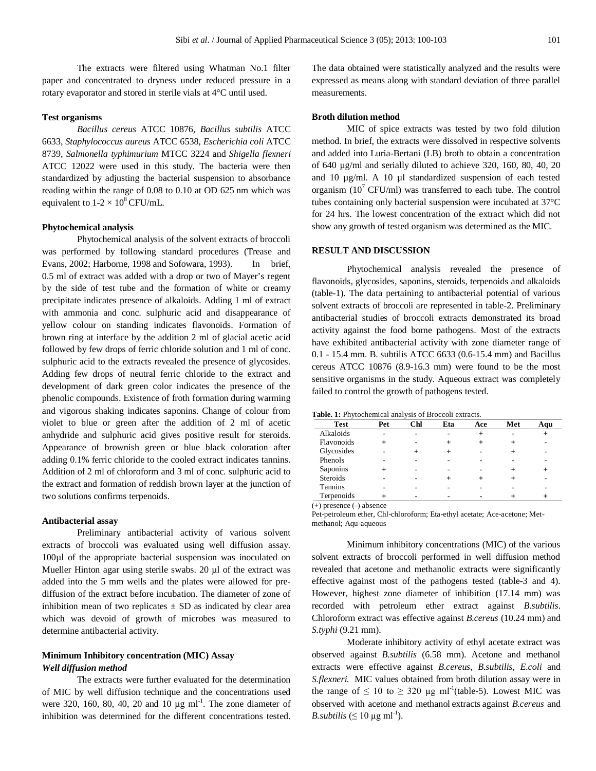The extracts were filtered using Whatman No.1 filter paper and concentrated to dryness under reduced pressure in a rotary evaporator and stored in sterile vials at 4°C until used.

## **Test organisms**

*Bacillus cereus* ATCC 10876*, Bacillus subtilis* ATCC 6633, *Staphylococcus aureus* ATCC 6538*, Escherichia coli* ATCC 8739, *Salmonella typhimurium* MTCC 3224 and *Shigella flexneri*  ATCC 12022 were used in this study. The bacteria were then standardized by adjusting the bacterial suspension to absorbance reading within the range of 0.08 to 0.10 at OD 625 nm which was equivalent to  $1-2 \times 10^8$  CFU/mL.

#### **Phytochemical analysis**

Phytochemical analysis of the solvent extracts of broccoli was performed by following standard procedures (Trease and Evans, 2002; Harborne, 1998 and Sofowara, 1993). In brief, 0.5 ml of extract was added with a drop or two of Mayer's regent by the side of test tube and the formation of white or creamy precipitate indicates presence of alkaloids. Adding 1 ml of extract with ammonia and conc. sulphuric acid and disappearance of yellow colour on standing indicates flavonoids. Formation of brown ring at interface by the addition 2 ml of glacial acetic acid followed by few drops of ferric chloride solution and 1 ml of conc. sulphuric acid to the extracts revealed the presence of glycosides. Adding few drops of neutral ferric chloride to the extract and development of dark green color indicates the presence of the phenolic compounds. Existence of froth formation during warming and vigorous shaking indicates saponins. Change of colour from violet to blue or green after the addition of 2 ml of acetic anhydride and sulphuric acid gives positive result for steroids. Appearance of brownish green or blue black coloration after adding 0.1% ferric chloride to the cooled extract indicates tannins. Addition of 2 ml of chloroform and 3 ml of conc. sulphuric acid to the extract and formation of reddish brown layer at the junction of two solutions confirms terpenoids.

#### **Antibacterial assay**

Preliminary antibacterial activity of various solvent extracts of broccoli was evaluated using well diffusion assay. 100µl of the appropriate bacterial suspension was inoculated on Mueller Hinton agar using sterile swabs. 20 µl of the extract was added into the 5 mm wells and the plates were allowed for prediffusion of the extract before incubation. The diameter of zone of inhibition mean of two replicates  $\pm$  SD as indicated by clear area which was devoid of growth of microbes was measured to determine antibacterial activity.

## **Minimum Inhibitory concentration (MIC) Assay** *Well diffusion method*

The extracts were further evaluated for the determination of MIC by well diffusion technique and the concentrations used were 320, 160, 80, 40, 20 and 10  $\mu$ g ml<sup>-1</sup>. The zone diameter of inhibition was determined for the different concentrations tested.

The data obtained were statistically analyzed and the results were expressed as means along with standard deviation of three parallel measurements.

#### **Broth dilution method**

MIC of spice extracts was tested by two fold dilution method. In brief, the extracts were dissolved in respective solvents and added into Luria-Bertani (LB) broth to obtain a concentration of 640 µg/ml and serially diluted to achieve 320, 160, 80, 40, 20 and 10 µg/ml. A 10 µl standardized suspension of each tested organism  $(10^7 \text{ CFU/ml})$  was transferred to each tube. The control tubes containing only bacterial suspension were incubated at 37°C for 24 hrs. The lowest concentration of the extract which did not show any growth of tested organism was determined as the MIC.

## **RESULT AND DISCUSSION**

Phytochemical analysis revealed the presence of flavonoids, glycosides, saponins, steroids, terpenoids and alkaloids (table-1). The data pertaining to antibacterial potential of various solvent extracts of broccoli are represented in table-2. Preliminary antibacterial studies of broccoli extracts demonstrated its broad activity against the food borne pathogens. Most of the extracts have exhibited antibacterial activity with zone diameter range of 0.1 - 15.4 mm. B. subtilis ATCC 6633 (0.6-15.4 mm) and Bacillus cereus ATCC 10876 (8.9-16.3 mm) were found to be the most sensitive organisms in the study. Aqueous extract was completely failed to control the growth of pathogens tested.

| Table. 1: Phytochemical analysis of Broccoli extracts. |  |  |
|--------------------------------------------------------|--|--|
|                                                        |  |  |

| <b>Test</b>                      | Pet | Chl | Eta | Ace | Met | Aqu |  |  |  |  |
|----------------------------------|-----|-----|-----|-----|-----|-----|--|--|--|--|
| Alkaloids                        |     |     |     |     |     |     |  |  |  |  |
| Flavonoids                       |     |     |     |     |     |     |  |  |  |  |
| Glycosides                       |     |     |     |     |     |     |  |  |  |  |
| Phenols                          |     |     |     |     |     |     |  |  |  |  |
| Saponins                         |     |     |     |     |     |     |  |  |  |  |
| <b>Steroids</b>                  |     |     |     |     |     |     |  |  |  |  |
| Tannins                          |     |     |     |     |     |     |  |  |  |  |
| Terpenoids                       |     |     |     |     |     |     |  |  |  |  |
| $(\pm)$ presence $(\pm)$ absence |     |     |     |     |     |     |  |  |  |  |

(+) presence (-) absence

Pet-petroleum ether, Chl-chloroform; Eta-ethyl acetate; Ace-acetone; Metmethanol; Aqu-aqueous

Minimum inhibitory concentrations (MIC) of the various solvent extracts of broccoli performed in well diffusion method revealed that acetone and methanolic extracts were significantly effective against most of the pathogens tested (table-3 and 4). However, highest zone diameter of inhibition (17.14 mm) was recorded with petroleum ether extract against *B.subtilis*. Chloroform extract was effective against *B.cereus* (10.24 mm) and *S.typhi* (9.21 mm).

Moderate inhibitory activity of ethyl acetate extract was observed against *B.subtilis* (6.58 mm). Acetone and methanol extracts were effective against *B.cereus, B.subtilis, E.coli* and *S.flexneri.* MIC values obtained from broth dilution assay were in the range of  $\leq 10$  to  $\geq 320$  µg ml<sup>-1</sup>(table-5). Lowest MIC was observed with acetone and methanol extracts against *B.cereus* and *B.subtilis* ( $\leq 10 \mu g$  ml<sup>-1</sup>).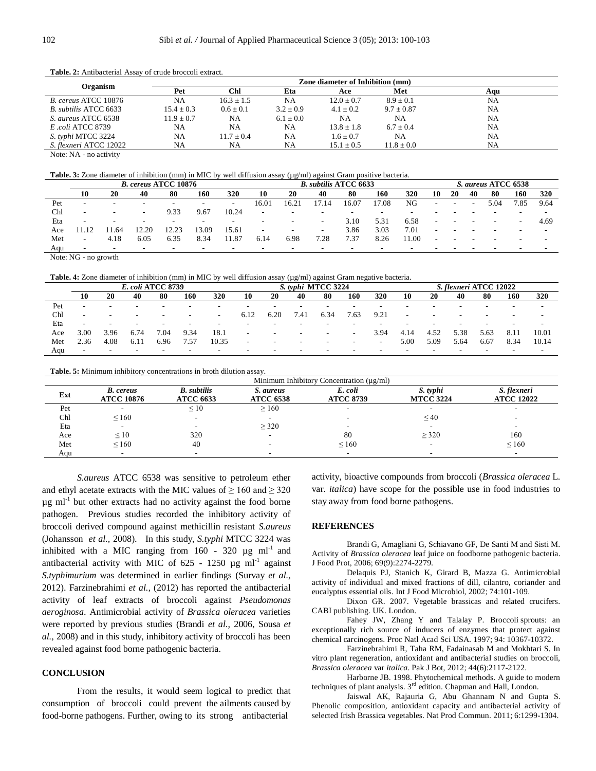|                        | Zone diameter of Inhibition (mm) |              |               |                |                |           |  |  |  |
|------------------------|----------------------------------|--------------|---------------|----------------|----------------|-----------|--|--|--|
| Organism               | Pet                              | Chl          | Eta           | Ace            | Met            | Aqu       |  |  |  |
| B. cereus ATCC 10876   | NA                               | $16.3 + 1.5$ | NA            | $12.0 + 0.7$   | $8.9 \pm 0.1$  | NA        |  |  |  |
| B. subtilis ATCC 6633  | $15.4 \pm 0.3$                   | $0.6 + 0.1$  | $3.2 \pm 0.9$ | $4.1 \pm 0.2$  | $9.7 \pm 0.87$ | NA        |  |  |  |
| S. aureus ATCC 6538    | $11.9 + 0.7$                     | NA.          | $6.1 \pm 0.0$ | NA             | NΑ             | NA        |  |  |  |
| E.coli ATCC 8739       | NA                               | NA           | NA            | $13.8 \pm 1.8$ | $6.7 \pm 0.4$  | <b>NA</b> |  |  |  |
| S. typhi MTCC 3224     | NA                               | $11.7 + 0.4$ | NA            | $1.6 \pm 0.7$  | NΑ             | NA        |  |  |  |
| S. flexneri ATCC 12022 | NA                               | NA           | NA            | $15.1 \pm 0.5$ | $11.8 \pm 0.0$ | NA        |  |  |  |

Table. 2: Antibacterial Assay of crude broccoli extract.

Note: NA - no activity

**Table. 3:** Zone diameter of inhibition (mm) in MIC by well diffusion assay ( $\mu$ g/ml) against Gram positive bacteria.

|     | <b>B.</b> cereus ATCC 10876 |                          |                          |      |                          |                          | <b>B.</b> subtilis ATCC 6633 |                          |                          |       |                          | S. aureus ATCC 6538      |                          |                          |                          |      |                          |                          |
|-----|-----------------------------|--------------------------|--------------------------|------|--------------------------|--------------------------|------------------------------|--------------------------|--------------------------|-------|--------------------------|--------------------------|--------------------------|--------------------------|--------------------------|------|--------------------------|--------------------------|
|     |                             | 20                       | 40                       | 80   | 160                      | 320                      | 10                           | 20                       | 40                       | 80    | 160                      | 320                      | 10                       | 20                       | 40                       | -80  | 160                      | 320                      |
| Pet | -                           | $\overline{\phantom{a}}$ | $\overline{\phantom{0}}$ |      | -                        | $\overline{\phantom{0}}$ | 16.01                        | (6.2)                    | 7.14                     | 16.07 | 7.08                     | NG                       | $\overline{\phantom{a}}$ | $\overline{\phantom{0}}$ | $\overline{\phantom{a}}$ | 5.04 | -85                      | 9.64                     |
| Chl | $\overline{\phantom{0}}$    | $\overline{\phantom{0}}$ | $\sim$                   | 9.33 | 9.67                     | 10.24                    | $\overline{\phantom{0}}$     | $\overline{\phantom{a}}$ | $\overline{\phantom{a}}$ |       | $\overline{\phantom{0}}$ | $\overline{\phantom{0}}$ |                          |                          |                          |      | $\overline{\phantom{0}}$ | -                        |
| Eta | -                           | -                        | -                        |      | $\overline{\phantom{0}}$ | -                        |                              | $\overline{\phantom{0}}$ | $\overline{\phantom{0}}$ | 3.10  | 5.31                     | 6.58                     | -                        |                          |                          |      | $\overline{\phantom{0}}$ | 4.69                     |
| Ace |                             | l .64                    | 2.20                     |      | 3.09                     | 15.61                    | $\overline{\phantom{0}}$     | $\overline{\phantom{a}}$ | $\overline{\phantom{a}}$ | 3.86  | 3.03                     | 7.01                     |                          |                          |                          |      | $\overline{\phantom{a}}$ | $\overline{\phantom{a}}$ |
| Met | $\sim$                      | 4.18                     | 6.05                     | 6.35 | 8.34                     | 1.87                     | 6.14                         | 6.98                     | 7.28                     | 7.37  | 8.26                     | 1.00                     |                          |                          |                          |      | -                        |                          |
| Aqu | -                           | $\sim$                   | $\overline{\phantom{0}}$ |      |                          | -                        |                              |                          | -                        |       |                          |                          |                          |                          |                          |      | -                        |                          |

Note: NG - no growth

**Table. 4:** Zone diameter of inhibition (mm) in MIC by well diffusion assay (µg/ml) against Gram negative bacteria.

|     | E. coli ATCC 8739        |                          |                          |                          |                          |                          | S. typhi MTCC 3224       |                          |                          |                          |                          | S. flexneri ATCC 12022   |      |      |      |                          |                          |                          |
|-----|--------------------------|--------------------------|--------------------------|--------------------------|--------------------------|--------------------------|--------------------------|--------------------------|--------------------------|--------------------------|--------------------------|--------------------------|------|------|------|--------------------------|--------------------------|--------------------------|
|     | 10                       | 20                       | 40                       | 80                       | 160                      | 320                      | 10                       | 20                       | 40                       | 80                       | 160                      | 320                      | 10   | 20   | 40   | 80                       | 160                      | 320                      |
| Pet | $\overline{\phantom{0}}$ | $\overline{\phantom{0}}$ | $\overline{\phantom{0}}$ | $\overline{\phantom{0}}$ | $\overline{\phantom{a}}$ | $\overline{\phantom{0}}$ |                          | $\overline{\phantom{0}}$ | $\overline{\phantom{0}}$ | $\overline{\phantom{0}}$ |                          | $\overline{\phantom{0}}$ |      |      |      | $\overline{\phantom{0}}$ | $\overline{\phantom{0}}$ | $\overline{\phantom{0}}$ |
| Chl | $\overline{\phantom{a}}$ |                          | -                        | -                        | $\sim$                   | $\overline{\phantom{0}}$ | 6.12                     | 6.20                     | '.41                     | 6.34                     | '.63                     | 9.21                     | -    |      |      |                          | $\overline{\phantom{0}}$ |                          |
| Eta | $\overline{\phantom{0}}$ |                          | $\overline{\phantom{0}}$ | -                        | $\overline{\phantom{a}}$ | $\overline{\phantom{0}}$ |                          | -                        | -                        | -                        |                          |                          |      |      |      | $\overline{\phantom{0}}$ | $\overline{\phantom{0}}$ | $\overline{\phantom{0}}$ |
| Ace | 3.00                     | 3.96                     | 6.74                     | '.04                     | 9.34                     | 18.1                     | $\overline{\phantom{a}}$ | $\overline{\phantom{a}}$ | $\sim$                   | $\sim$                   | $\overline{\phantom{a}}$ | 3.94                     | 4.14 | 4.52 | 5.38 | 5.63                     | 8.11                     | 10.01                    |
| Met | 2.36                     | 4.08                     | 6.1                      | 6.96                     | 1.57                     | 10.35                    |                          | -                        | $\sim$                   | $\sim$                   | -                        | $\overline{\phantom{0}}$ | 5.00 | 5.09 | 5.64 | 6.67                     | 8.34                     | 10.14                    |
| Aau | $\overline{\phantom{0}}$ | $\sim$                   | $\sim$                   | $\sim$                   | $\sim$                   | $\overline{\phantom{0}}$ | $\overline{\phantom{a}}$ | $\overline{\phantom{0}}$ | $\overline{\phantom{0}}$ | $\overline{\phantom{0}}$ | -                        | $\overline{\phantom{0}}$ | -    |      |      | $\overline{\phantom{a}}$ | $\overline{\phantom{0}}$ | $\sim$                   |

**Table. 5:** Minimum inhibitory concentrations in broth dilution assay.

|     |                                       |                                        |                               | Minimum Inhibitory Concentration $(\mu g/ml)$ |                              |                                  |
|-----|---------------------------------------|----------------------------------------|-------------------------------|-----------------------------------------------|------------------------------|----------------------------------|
| Ext | <b>B.</b> cereus<br><b>ATCC 10876</b> | <b>B.</b> subtilis<br><b>ATCC 6633</b> | S. aureus<br><b>ATCC 6538</b> | E. coli<br><b>ATCC 8739</b>                   | S. typhi<br><b>MTCC 3224</b> | S. flexneri<br><b>ATCC 12022</b> |
| Pet |                                       | $\leq 10$                              | $\geq 160$                    |                                               | $\overline{\phantom{a}}$     |                                  |
| Chl | $\leq 160$                            |                                        |                               |                                               | $\leq 40$                    |                                  |
| Eta | $\overline{\phantom{a}}$              |                                        | $\geq$ 320                    | $\overline{\phantom{a}}$                      | $\overline{\phantom{0}}$     |                                  |
| Ace | $\leq 10$                             | 320                                    |                               | 80                                            | $\geq$ 320                   | 160                              |
| Met | $\leq 160$                            | 40                                     |                               | $\leq 160$                                    | $\overline{\phantom{a}}$     | $\leq 160$                       |
| Aqu | -                                     |                                        |                               | $\overline{\phantom{a}}$                      | $\overline{\phantom{a}}$     |                                  |

*S.aureus* ATCC 6538 was sensitive to petroleum ether and ethyl acetate extracts with the MIC values of  $\geq 160$  and  $\geq 320$  $\mu$ g ml<sup>-1</sup> but other extracts had no activity against the food borne pathogen. Previous studies recorded the inhibitory activity of broccoli derived compound against methicillin resistant *S.aureus* (Johansson *et al.,* 2008). In this study, *S.typhi* MTCC 3224 was inhibited with a MIC ranging from  $160 - 320 \mu g$  ml<sup>-1</sup> and antibacterial activity with MIC of  $625 - 1250 \mu g \text{ ml}^{-1}$  against *S.typhimurium* was determined in earlier findings (Survay *et al.,*  2012). Farzinebrahimi *et al.,* (2012) has reported the antibacterial activity of leaf extracts of broccoli against *Pseudomonas aeroginosa*. Antimicrobial activity of *Brassica oleracea* varieties were reported by previous studies (Brandi *et al.,* 2006, Sousa *et al.,* 2008) and in this study, inhibitory activity of broccoli has been revealed against food borne pathogenic bacteria.

## **CONCLUSION**

From the results, it would seem logical to predict that consumption of broccoli could prevent the ailments caused by food-borne pathogens. Further, owing to its strong antibacterial

activity, bioactive compounds from broccoli (*Brassica oleracea* L. var. *italica*) have scope for the possible use in food industries to stay away from food borne pathogens.

#### **REFERENCES**

Brandi G, Amagliani G, Schiavano GF, De Santi M and Sisti M. Activity of *Brassica oleracea* leaf juice on foodborne pathogenic bacteria. J Food Prot, 2006; 69(9):2274-2279.

Delaquis PJ, Stanich K, Girard B, Mazza G. Antimicrobial activity of individual and mixed fractions of dill, cilantro, coriander and eucalyptus essential oils. Int J Food Microbiol, 2002; 74:101-109.

Dixon GR. 2007. Vegetable brassicas and related crucifers. CABI publishing. UK. London.

Fahey JW, Zhang Y and Talalay P. Broccoli sprouts: an exceptionally rich source of inducers of enzymes that protect against chemical carcinogens. Proc Natl Acad Sci USA. 1997; 94: 10367-10372.

Farzinebrahimi R, Taha RM, Fadainasab M and Mokhtari S. In vitro plant regeneration, antioxidant and antibacterial studies on broccoli, *Brassica oleracea* var *italica*. Pak J Bot, 2012; 44(6):2117-2122.

Harborne JB. 1998. Phytochemical methods. A guide to modern techniques of plant analysis. 3<sup>rd</sup> edition. Chapman and Hall, London.

Jaiswal AK, Rajauria G, Abu Ghannam N and Gupta S. Phenolic composition, antioxidant capacity and antibacterial activity of selected Irish Brassica vegetables. Nat Prod Commun. 2011; 6:1299-1304.